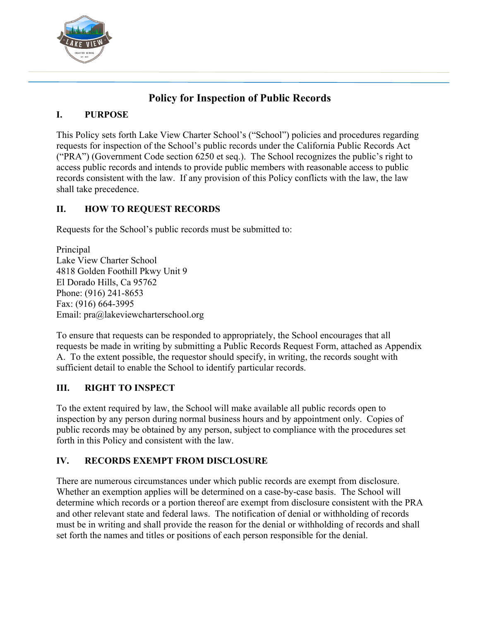

# **Policy for Inspection of Public Records**

## **I. PURPOSE**

This Policy sets forth Lake View Charter School's ("School") policies and procedures regarding requests for inspection of the School's public records under the California Public Records Act ("PRA") (Government Code section 6250 et seq.). The School recognizes the public's right to access public records and intends to provide public members with reasonable access to public records consistent with the law. If any provision of this Policy conflicts with the law, the law shall take precedence.

# **II. HOW TO REQUEST RECORDS**

Requests for the School's public records must be submitted to:

Principal Lake View Charter School 4818 Golden Foothill Pkwy Unit 9 El Dorado Hills, Ca 95762 Phone: (916) 241-8653 Fax: (916) 664-3995 Email: pra@lakeviewcharterschool.org

To ensure that requests can be responded to appropriately, the School encourages that all requests be made in writing by submitting a Public Records Request Form, attached as Appendix A. To the extent possible, the requestor should specify, in writing, the records sought with sufficient detail to enable the School to identify particular records.

# **III. RIGHT TO INSPECT**

To the extent required by law, the School will make available all public records open to inspection by any person during normal business hours and by appointment only. Copies of public records may be obtained by any person, subject to compliance with the procedures set forth in this Policy and consistent with the law.

## **IV. RECORDS EXEMPT FROM DISCLOSURE**

There are numerous circumstances under which public records are exempt from disclosure. Whether an exemption applies will be determined on a case-by-case basis. The School will determine which records or a portion thereof are exempt from disclosure consistent with the PRA and other relevant state and federal laws. The notification of denial or withholding of records must be in writing and shall provide the reason for the denial or withholding of records and shall set forth the names and titles or positions of each person responsible for the denial.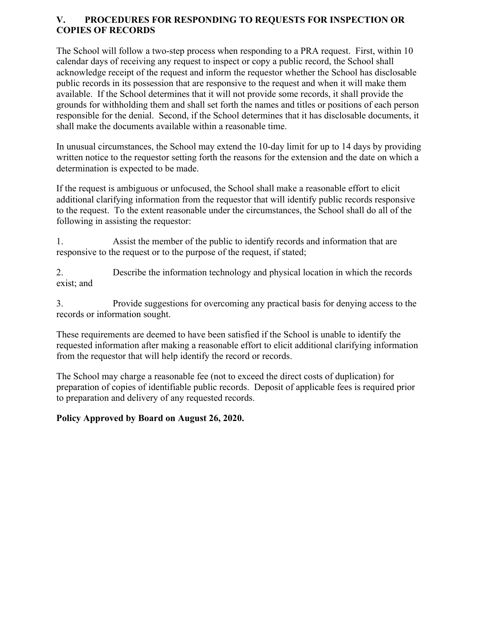#### **V. PROCEDURES FOR RESPONDING TO REQUESTS FOR INSPECTION OR COPIES OF RECORDS**

The School will follow a two-step process when responding to a PRA request. First, within 10 calendar days of receiving any request to inspect or copy a public record, the School shall acknowledge receipt of the request and inform the requestor whether the School has disclosable public records in its possession that are responsive to the request and when it will make them available. If the School determines that it will not provide some records, it shall provide the grounds for withholding them and shall set forth the names and titles or positions of each person responsible for the denial. Second, if the School determines that it has disclosable documents, it shall make the documents available within a reasonable time.

In unusual circumstances, the School may extend the 10-day limit for up to 14 days by providing written notice to the requestor setting forth the reasons for the extension and the date on which a determination is expected to be made.

If the request is ambiguous or unfocused, the School shall make a reasonable effort to elicit additional clarifying information from the requestor that will identify public records responsive to the request. To the extent reasonable under the circumstances, the School shall do all of the following in assisting the requestor:

1. Assist the member of the public to identify records and information that are responsive to the request or to the purpose of the request, if stated;

2. Describe the information technology and physical location in which the records exist; and

3. Provide suggestions for overcoming any practical basis for denying access to the records or information sought.

These requirements are deemed to have been satisfied if the School is unable to identify the requested information after making a reasonable effort to elicit additional clarifying information from the requestor that will help identify the record or records.

The School may charge a reasonable fee (not to exceed the direct costs of duplication) for preparation of copies of identifiable public records. Deposit of applicable fees is required prior to preparation and delivery of any requested records.

## **Policy Approved by Board on August 26, 2020.**